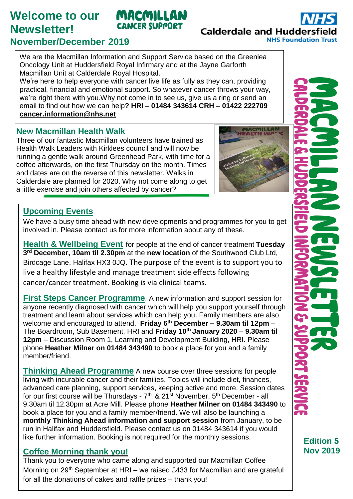# **Welcome to our Newsletter!**

#### **CANCER SUPPORT Calderdale and Hudderst NHS Foundation Trust**

## **November/December 2019**

We are the Macmillan Information and Support Service based on the Greenlea Oncology Unit at Huddersfield Royal Infirmary and at the Jayne Garforth Macmillan Unit at Calderdale Royal Hospital.

MACMILLAN

We're here to help everyone with cancer live life as fully as they can, providing practical, financial and emotional support. So whatever cancer throws your way, we're right there with you.Why not come in to see us, give us a ring or send an email to find out how we can help**? HRI – 01484 343614 CRH – 01422 222709 [cancer.information@nhs.net](mailto:cancer.information@nhs.net)**

#### **New Macmillan Health Walk**

Three of our fantastic Macmillan volunteers have trained as Health Walk Leaders with Kirklees council and will now be running a gentle walk around Greenhead Park, with time for a coffee afterwards, on the first Thursday on the month. Times and dates are on the reverse of this newsletter. Walks in Calderdale are planned for 2020. Why not come along to get a little exercise and join others affected by cancer?



#### **Upcoming Events**

We have a busy time ahead with new developments and programmes for you to get involved in. Please contact us for more information about any of these.

**Health & Wellbeing Event** for people at the end of cancer treatment **Tuesday 3 rd December, 10am til 2.30pm** at the **new location** of the Southwood Club Ltd, Birdcage Lane, Halifax HX3 0JQ**.** The purpose of the event is to support you to live a healthy lifestyle and manage treatment side effects following cancer/cancer treatment. Booking is via clinical teams.

**First Steps Cancer Programme**. A new information and support session for anyone recently diagnosed with cancer which will help you support yourself through treatment and learn about services which can help you. Family members are also welcome and encouraged to attend. **Friday 6th December – 9.30am til 12pm** – The Boardroom, Sub Basement, HRI and **Friday 10th January 2020** – **9.30am til 12pm** – Discussion Room 1, Learning and Development Building, HRI. Please phone **Heather Milner on 01484 343490** to book a place for you and a family member/friend.

**Thinking Ahead Programme** A new course over three sessions for people living with incurable cancer and their families. Topics will include diet, finances, advanced care planning, support services, keeping active and more. Session dates for our first course will be Thursdays - 7<sup>th</sup> & 21<sup>st</sup> November, 5<sup>th</sup> December - all 9.30am til 12.30pm at Acre Mill. Please phone **Heather Milner on 01484 343490** to book a place for you and a family member/friend. We will also be launching a **monthly Thinking Ahead information and support session** from January, to be run in Halifax and Huddersfield. Please contact us on 01484 343614 if you would like further information. Booking is not required for the monthly sessions.

### **Coffee Morning thank you!**

Thank you to everyone who came along and supported our Macmillan Coffee Morning on 29<sup>th</sup> September at HRI – we raised £433 for Macmillan and are grateful for all the donations of cakes and raffle prizes – thank you!

**Edition 5 Nov 2019**